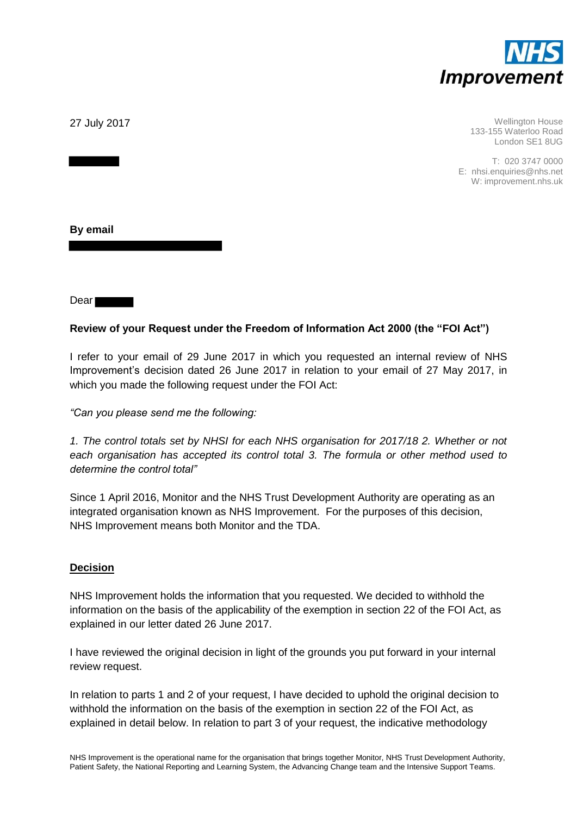

27 July 2017

Wellington House 133-155 Waterloo Road London SE1 8UG

T: 020 3747 0000 E: nhsi.enquiries@nhs.net W: improvement.nhs.uk

**By email** 

Dear

## **Review of your Request under the Freedom of Information Act 2000 (the "FOI Act")**

I refer to your email of 29 June 2017 in which you requested an internal review of NHS Improvement's decision dated 26 June 2017 in relation to your email of 27 May 2017, in which you made the following request under the FOI Act:

*"Can you please send me the following:*

*1. The control totals set by NHSI for each NHS organisation for 2017/18 2. Whether or not each organisation has accepted its control total 3. The formula or other method used to determine the control total"*

Since 1 April 2016, Monitor and the NHS Trust Development Authority are operating as an integrated organisation known as NHS Improvement. For the purposes of this decision, NHS Improvement means both Monitor and the TDA.

#### **Decision**

NHS Improvement holds the information that you requested. We decided to withhold the information on the basis of the applicability of the exemption in section 22 of the FOI Act, as explained in our letter dated 26 June 2017.

I have reviewed the original decision in light of the grounds you put forward in your internal review request.

In relation to parts 1 and 2 of your request, I have decided to uphold the original decision to withhold the information on the basis of the exemption in section 22 of the FOI Act, as explained in detail below. In relation to part 3 of your request, the indicative methodology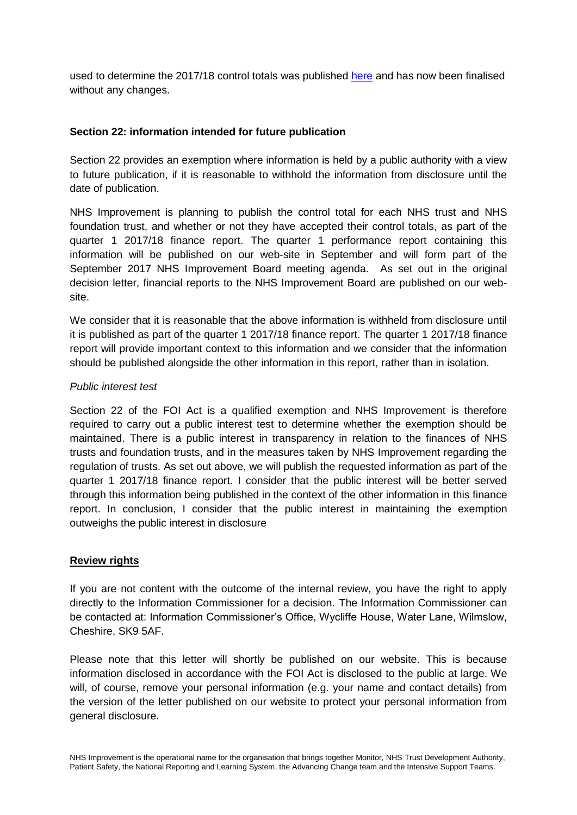used to determine the 2017/18 control totals was published [here](https://improvement.nhs.uk/uploads/documents/STF_and_Financial_CT_1718_1819_Guidance_Indicative.pdf) and has now been finalised without any changes.

### **Section 22: information intended for future publication**

Section 22 provides an exemption where information is held by a public authority with a view to future publication, if it is reasonable to withhold the information from disclosure until the date of publication.

NHS Improvement is planning to publish the control total for each NHS trust and NHS foundation trust, and whether or not they have accepted their control totals, as part of the quarter 1 2017/18 finance report. The quarter 1 performance report containing this information will be published on our web-site in September and will form part of the September 2017 NHS Improvement Board meeting agenda. As set out in the original decision letter, financial reports to the NHS Improvement Board are published on our website.

We consider that it is reasonable that the above information is withheld from disclosure until it is published as part of the quarter 1 2017/18 finance report. The quarter 1 2017/18 finance report will provide important context to this information and we consider that the information should be published alongside the other information in this report, rather than in isolation.

#### *Public interest test*

Section 22 of the FOI Act is a qualified exemption and NHS Improvement is therefore required to carry out a public interest test to determine whether the exemption should be maintained. There is a public interest in transparency in relation to the finances of NHS trusts and foundation trusts, and in the measures taken by NHS Improvement regarding the regulation of trusts. As set out above, we will publish the requested information as part of the quarter 1 2017/18 finance report. I consider that the public interest will be better served through this information being published in the context of the other information in this finance report. In conclusion, I consider that the public interest in maintaining the exemption outweighs the public interest in disclosure

#### **Review rights**

If you are not content with the outcome of the internal review, you have the right to apply directly to the Information Commissioner for a decision. The Information Commissioner can be contacted at: Information Commissioner's Office, Wycliffe House, Water Lane, Wilmslow, Cheshire, SK9 5AF.

Please note that this letter will shortly be published on our website. This is because information disclosed in accordance with the FOI Act is disclosed to the public at large. We will, of course, remove your personal information (e.g. your name and contact details) from the version of the letter published on our website to protect your personal information from general disclosure.